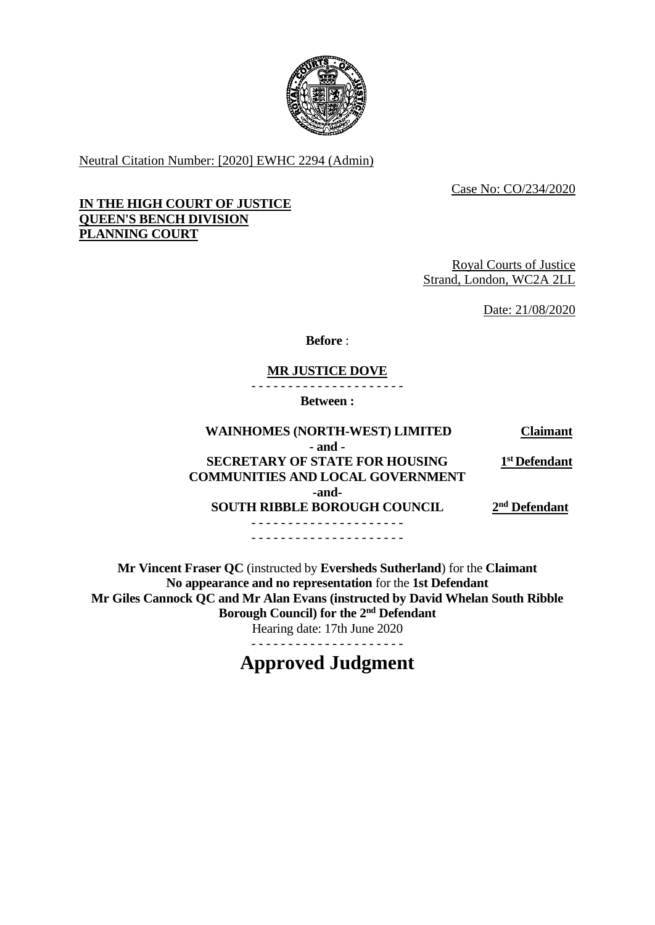

Neutral Citation Number: [2020] EWHC 2294 (Admin)

Case No: CO/234/2020

# **IN THE HIGH COURT OF JUSTICE QUEEN'S BENCH DIVISION PLANNING COURT**

Royal Courts of Justice Strand, London, WC2A 2LL

Date: 21/08/2020

**Before** :

# **MR JUSTICE DOVE**

- - - - - - - - - - - - - - - - - - - - -

**Between :**

| <b>WAINHOMES (NORTH-WEST) LIMITED</b>   | <b>Claimant</b>           |
|-----------------------------------------|---------------------------|
| $-$ and $-$                             |                           |
| <b>SECRETARY OF STATE FOR HOUSING</b>   | 1 <sup>st</sup> Defendant |
| <b>COMMUNITIES AND LOCAL GOVERNMENT</b> |                           |
| -and-                                   |                           |
| <b>SOUTH RIBBLE BOROUGH COUNCIL</b>     | 2 <sup>nd</sup> Defendant |
|                                         |                           |
|                                         |                           |

**Mr Vincent Fraser QC** (instructed by **Eversheds Sutherland**) for the **Claimant No appearance and no representation** for the **1st Defendant Mr Giles Cannock QC and Mr Alan Evans (instructed by David Whelan South Ribble Borough Council) for the 2nd Defendant** Hearing date: 17th June 2020

- - - - - - - - - - - - - - - - - - - - -

# **Approved Judgment**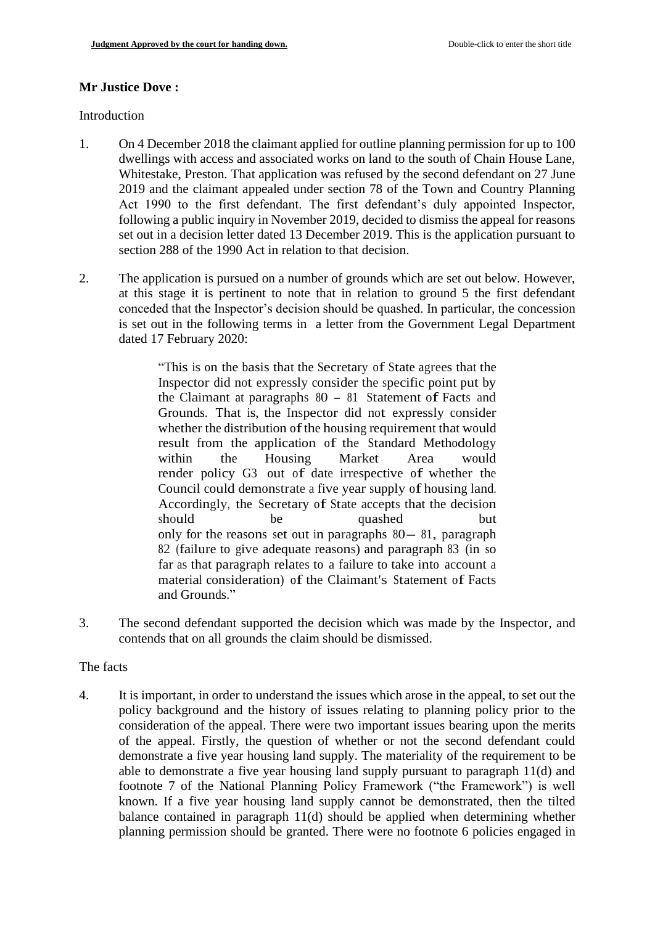## **Mr Justice Dove :**

#### Introduction

- 1. On 4 December 2018 the claimant applied for outline planning permission for up to 100 dwellings with access and associated works on land to the south of Chain House Lane, Whitestake, Preston. That application was refused by the second defendant on 27 June 2019 and the claimant appealed under section 78 of the Town and Country Planning Act 1990 to the first defendant. The first defendant's duly appointed Inspector, following a public inquiry in November 2019, decided to dismiss the appeal for reasons set out in a decision letter dated 13 December 2019. This is the application pursuant to section 288 of the 1990 Act in relation to that decision.
- 2. The application is pursued on a number of grounds which are set out below. However, at this stage it is pertinent to note that in relation to ground 5 the first defendant conceded that the Inspector's decision should be quashed. In particular, the concession is set out in the following terms in a letter from the Government Legal Department dated 17 February 2020:

"This is on the basis that the Secretary of State agrees that the Inspector did not expressly consider the specific point put by the Claimant at paragraphs 80 - <sup>81</sup> Statement of Facts and Grounds. That is, the Inspector did not expressly consider whether the distribution of the housing requirement that would result from the application of the Standard Methodology within the Housing Market Area would render policy G3 out of date irrespective of whether the Council could demonstrate a five year supply of housing land. Accordingly, the Secretary of State accepts that the decision should be quashed but only for the reasons set out in paragraphs 80- 81, paragraph 82 (failure to give adequate reasons) and paragraph 83 (in so far as that paragraph relates to a failure to take into account a material consideration) of the Claimant's Statement of Facts and Grounds."

3. The second defendant supported the decision which was made by the Inspector, and contends that on all grounds the claim should be dismissed.

### The facts

4. It is important, in order to understand the issues which arose in the appeal, to set out the policy background and the history of issues relating to planning policy prior to the consideration of the appeal. There were two important issues bearing upon the merits of the appeal. Firstly, the question of whether or not the second defendant could demonstrate a five year housing land supply. The materiality of the requirement to be able to demonstrate a five year housing land supply pursuant to paragraph 11(d) and footnote 7 of the National Planning Policy Framework ("the Framework") is well known. If a five year housing land supply cannot be demonstrated, then the tilted balance contained in paragraph 11(d) should be applied when determining whether planning permission should be granted. There were no footnote 6 policies engaged in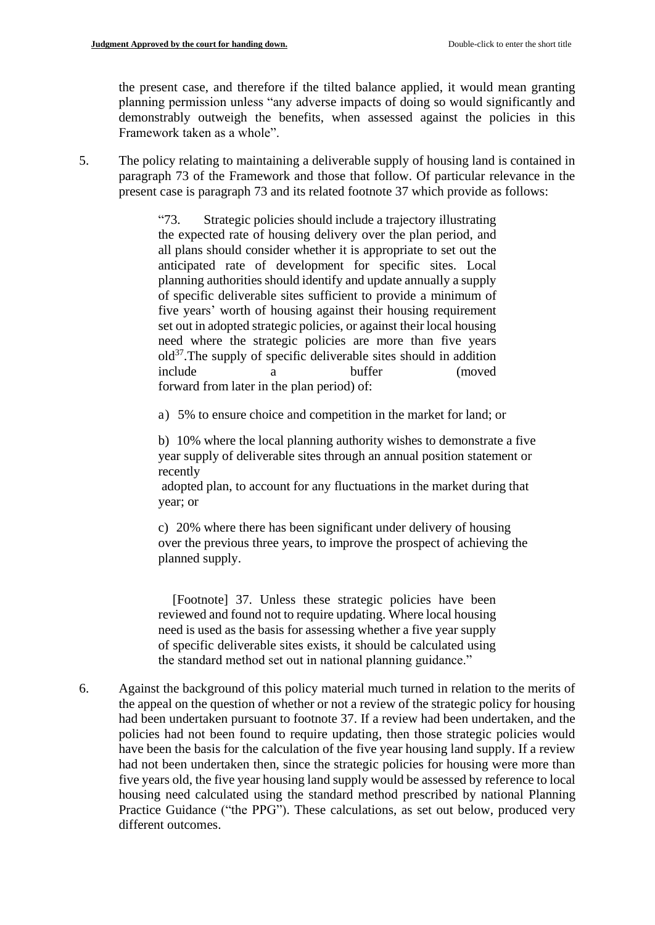the present case, and therefore if the tilted balance applied, it would mean granting planning permission unless "any adverse impacts of doing so would significantly and demonstrably outweigh the benefits, when assessed against the policies in this Framework taken as a whole".

5. The policy relating to maintaining a deliverable supply of housing land is contained in paragraph 73 of the Framework and those that follow. Of particular relevance in the present case is paragraph 73 and its related footnote 37 which provide as follows:

> "73. Strategic policies should include a trajectory illustrating the expected rate of housing delivery over the plan period, and all plans should consider whether it is appropriate to set out the anticipated rate of development for specific sites. Local planning authorities should identify and update annually a supply of specific deliverable sites sufficient to provide a minimum of five years' worth of housing against their housing requirement set out in adopted strategic policies, or against their local housing need where the strategic policies are more than five years old<sup>37</sup>.The supply of specific deliverable sites should in addition include a buffer (moved forward from later in the plan period) of:

a) 5% to ensure choice and competition in the market for land; or

 b) 10% where the local planning authority wishes to demonstrate a five year supply of deliverable sites through an annual position statement or recently

adopted plan, to account for any fluctuations in the market during that year; or

 c) 20% where there has been significant under delivery of housing over the previous three years, to improve the prospect of achieving the planned supply.

[Footnote] 37. Unless these strategic policies have been reviewed and found not to require updating. Where local housing need is used as the basis for assessing whether a five year supply of specific deliverable sites exists, it should be calculated using the standard method set out in national planning guidance."

6. Against the background of this policy material much turned in relation to the merits of the appeal on the question of whether or not a review of the strategic policy for housing had been undertaken pursuant to footnote 37. If a review had been undertaken, and the policies had not been found to require updating, then those strategic policies would have been the basis for the calculation of the five year housing land supply. If a review had not been undertaken then, since the strategic policies for housing were more than five years old, the five year housing land supply would be assessed by reference to local housing need calculated using the standard method prescribed by national Planning Practice Guidance ("the PPG"). These calculations, as set out below, produced very different outcomes.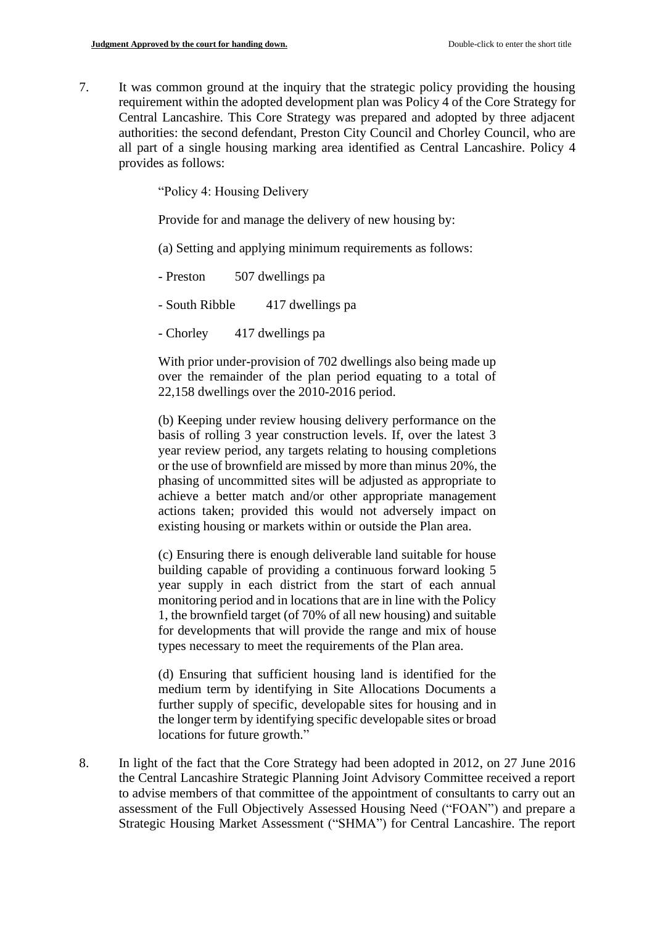7. It was common ground at the inquiry that the strategic policy providing the housing requirement within the adopted development plan was Policy 4 of the Core Strategy for Central Lancashire. This Core Strategy was prepared and adopted by three adjacent authorities: the second defendant, Preston City Council and Chorley Council, who are all part of a single housing marking area identified as Central Lancashire. Policy 4 provides as follows:

"Policy 4: Housing Delivery

Provide for and manage the delivery of new housing by:

(a) Setting and applying minimum requirements as follows:

- Preston 507 dwellings pa

- South Ribble 417 dwellings pa

- Chorley 417 dwellings pa

With prior under-provision of 702 dwellings also being made up over the remainder of the plan period equating to a total of 22,158 dwellings over the 2010-2016 period.

(b) Keeping under review housing delivery performance on the basis of rolling 3 year construction levels. If, over the latest 3 year review period, any targets relating to housing completions or the use of brownfield are missed by more than minus 20%, the phasing of uncommitted sites will be adjusted as appropriate to achieve a better match and/or other appropriate management actions taken; provided this would not adversely impact on existing housing or markets within or outside the Plan area.

(c) Ensuring there is enough deliverable land suitable for house building capable of providing a continuous forward looking 5 year supply in each district from the start of each annual monitoring period and in locations that are in line with the Policy 1, the brownfield target (of 70% of all new housing) and suitable for developments that will provide the range and mix of house types necessary to meet the requirements of the Plan area.

(d) Ensuring that sufficient housing land is identified for the medium term by identifying in Site Allocations Documents a further supply of specific, developable sites for housing and in the longer term by identifying specific developable sites or broad locations for future growth."

8. In light of the fact that the Core Strategy had been adopted in 2012, on 27 June 2016 the Central Lancashire Strategic Planning Joint Advisory Committee received a report to advise members of that committee of the appointment of consultants to carry out an assessment of the Full Objectively Assessed Housing Need ("FOAN") and prepare a Strategic Housing Market Assessment ("SHMA") for Central Lancashire. The report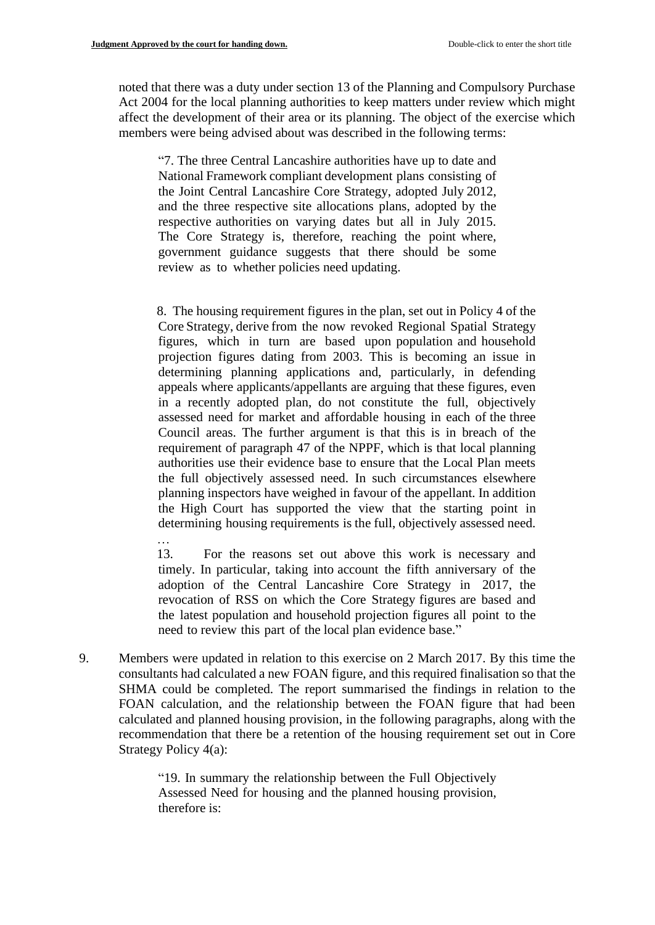…

noted that there was a duty under section 13 of the Planning and Compulsory Purchase Act 2004 for the local planning authorities to keep matters under review which might affect the development of their area or its planning. The object of the exercise which members were being advised about was described in the following terms:

"7. The three Central Lancashire authorities have up to date and National Framework compliant development plans consisting of the Joint Central Lancashire Core Strategy, adopted July 2012, and the three respective site allocations plans, adopted by the respective authorities on varying dates but all in July 2015. The Core Strategy is, therefore, reaching the point where, government guidance suggests that there should be some review as to whether policies need updating.

 8. The housing requirement figures in the plan, set out in Policy 4 of the Core Strategy, derive from the now revoked Regional Spatial Strategy figures, which in turn are based upon population and household projection figures dating from 2003. This is becoming an issue in determining planning applications and, particularly, in defending appeals where applicants/appellants are arguing that these figures, even in a recently adopted plan, do not constitute the full, objectively assessed need for market and affordable housing in each of the three Council areas. The further argument is that this is in breach of the requirement of paragraph 47 of the NPPF, which is that local planning authorities use their evidence base to ensure that the Local Plan meets the full objectively assessed need. In such circumstances elsewhere planning inspectors have weighed in favour of the appellant. In addition the High Court has supported the view that the starting point in determining housing requirements is the full, objectively assessed need.

 13. For the reasons set out above this work is necessary and timely. In particular, taking into account the fifth anniversary of the adoption of the Central Lancashire Core Strategy in 2017, the revocation of RSS on which the Core Strategy figures are based and the latest population and household projection figures all point to the need to review this part of the local plan evidence base."

9. Members were updated in relation to this exercise on 2 March 2017. By this time the consultants had calculated a new FOAN figure, and this required finalisation so that the SHMA could be completed. The report summarised the findings in relation to the FOAN calculation, and the relationship between the FOAN figure that had been calculated and planned housing provision, in the following paragraphs, along with the recommendation that there be a retention of the housing requirement set out in Core Strategy Policy 4(a):

> "19. In summary the relationship between the Full Objectively Assessed Need for housing and the planned housing provision, therefore is: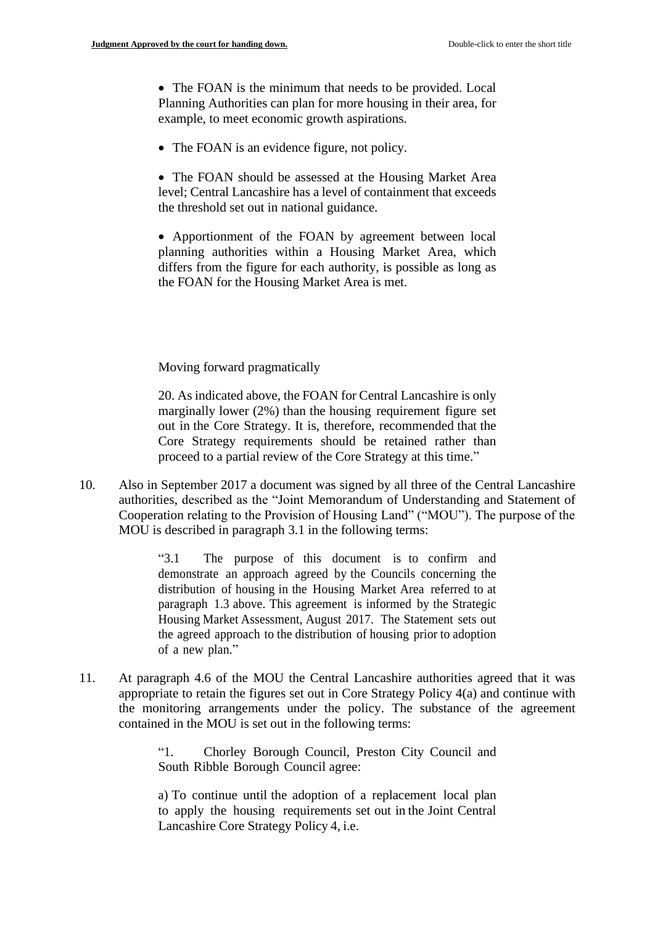• The FOAN is the minimum that needs to be provided. Local Planning Authorities can plan for more housing in their area, for example, to meet economic growth aspirations.

- The FOAN is an evidence figure, not policy.
- The FOAN should be assessed at the Housing Market Area level; Central Lancashire has a level of containment that exceeds the threshold set out in national guidance.

• Apportionment of the FOAN by agreement between local planning authorities within a Housing Market Area, which differs from the figure for each authority, is possible as long as the FOAN for the Housing Market Area is met.

Moving forward pragmatically

20. As indicated above, the FOAN for Central Lancashire is only marginally lower (2%) than the housing requirement figure set out in the Core Strategy. It is, therefore, recommended that the Core Strategy requirements should be retained rather than proceed to a partial review of the Core Strategy at this time."

10. Also in September 2017 a document was signed by all three of the Central Lancashire authorities, described as the "Joint Memorandum of Understanding and Statement of Cooperation relating to the Provision of Housing Land" ("MOU"). The purpose of the MOU is described in paragraph 3.1 in the following terms:

> "3.1 The purpose of this document is to confirm and demonstrate an approach agreed by the Councils concerning the distribution of housing in the Housing Market Area referred to at paragraph 1.3 above. This agreement is informed by the Strategic Housing Market Assessment, August 2017. The Statement sets out the agreed approach to the distribution of housing prior to adoption of a new plan."

11. At paragraph 4.6 of the MOU the Central Lancashire authorities agreed that it was appropriate to retain the figures set out in Core Strategy Policy 4(a) and continue with the monitoring arrangements under the policy. The substance of the agreement contained in the MOU is set out in the following terms:

> "1. Chorley Borough Council, Preston City Council and South Ribble Borough Council agree:

> a) To continue until the adoption of a replacement local plan to apply the housing requirements set out in the Joint Central Lancashire Core Strategy Policy 4, i.e.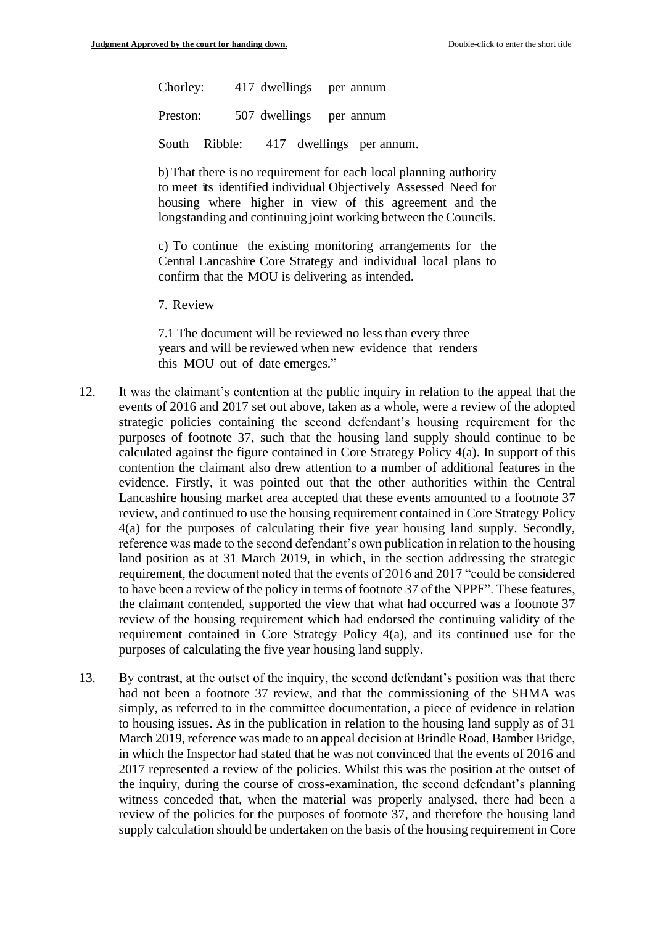Chorley: 417 dwellings per annum Preston: 507 dwellings per annum South Ribble: 417 dwellings per annum.

b) That there is no requirement for each local planning authority to meet its identified individual Objectively Assessed Need for housing where higher in view of this agreement and the longstanding and continuing joint working between the Councils.

c) To continue the existing monitoring arrangements for the Central Lancashire Core Strategy and individual local plans to confirm that the MOU is delivering as intended.

7. Review

7.1 The document will be reviewed no less than every three years and will be reviewed when new evidence that renders this MOU out of date emerges."

- 12. It was the claimant's contention at the public inquiry in relation to the appeal that the events of 2016 and 2017 set out above, taken as a whole, were a review of the adopted strategic policies containing the second defendant's housing requirement for the purposes of footnote 37, such that the housing land supply should continue to be calculated against the figure contained in Core Strategy Policy 4(a). In support of this contention the claimant also drew attention to a number of additional features in the evidence. Firstly, it was pointed out that the other authorities within the Central Lancashire housing market area accepted that these events amounted to a footnote 37 review, and continued to use the housing requirement contained in Core Strategy Policy 4(a) for the purposes of calculating their five year housing land supply. Secondly, reference was made to the second defendant's own publication in relation to the housing land position as at 31 March 2019, in which, in the section addressing the strategic requirement, the document noted that the events of 2016 and 2017 "could be considered to have been a review of the policy in terms of footnote 37 of the NPPF". These features, the claimant contended, supported the view that what had occurred was a footnote 37 review of the housing requirement which had endorsed the continuing validity of the requirement contained in Core Strategy Policy 4(a), and its continued use for the purposes of calculating the five year housing land supply.
- 13. By contrast, at the outset of the inquiry, the second defendant's position was that there had not been a footnote 37 review, and that the commissioning of the SHMA was simply, as referred to in the committee documentation, a piece of evidence in relation to housing issues. As in the publication in relation to the housing land supply as of 31 March 2019, reference was made to an appeal decision at Brindle Road, Bamber Bridge, in which the Inspector had stated that he was not convinced that the events of 2016 and 2017 represented a review of the policies. Whilst this was the position at the outset of the inquiry, during the course of cross-examination, the second defendant's planning witness conceded that, when the material was properly analysed, there had been a review of the policies for the purposes of footnote 37, and therefore the housing land supply calculation should be undertaken on the basis of the housing requirement in Core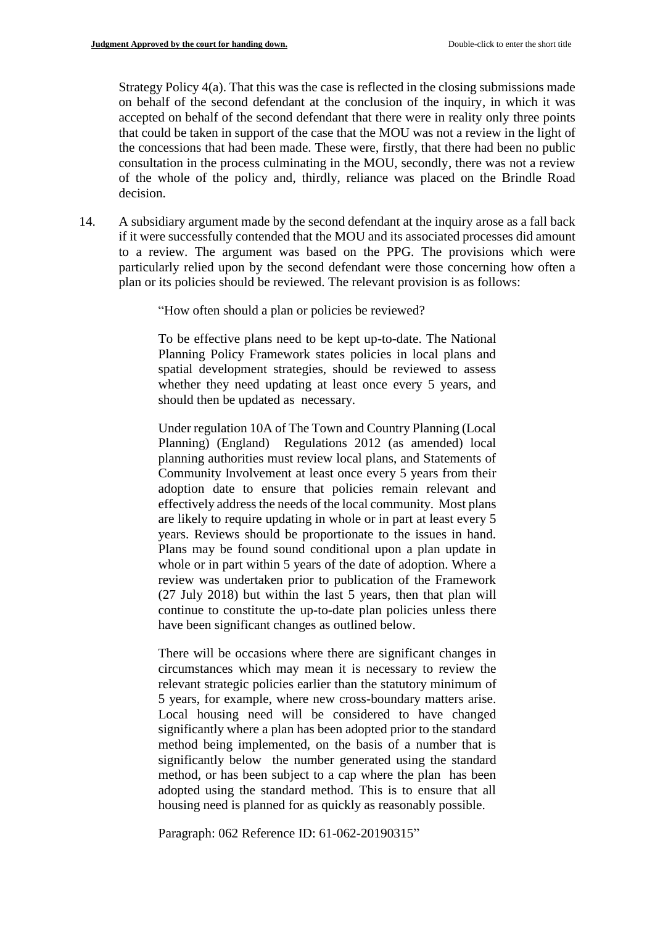Strategy Policy 4(a). That this was the case is reflected in the closing submissions made on behalf of the second defendant at the conclusion of the inquiry, in which it was accepted on behalf of the second defendant that there were in reality only three points that could be taken in support of the case that the MOU was not a review in the light of the concessions that had been made. These were, firstly, that there had been no public consultation in the process culminating in the MOU, secondly, there was not a review of the whole of the policy and, thirdly, reliance was placed on the Brindle Road decision.

14. A subsidiary argument made by the second defendant at the inquiry arose as a fall back if it were successfully contended that the MOU and its associated processes did amount to a review. The argument was based on the PPG. The provisions which were particularly relied upon by the second defendant were those concerning how often a plan or its policies should be reviewed. The relevant provision is as follows:

"How often should a plan or policies be reviewed?

To be effective plans need to be kept up-to-date. The National Planning Policy Framework states policies in local plans and spatial development strategies, should be reviewed to assess whether they need updating at least once every 5 years, and should then be [updated as necessary.](https://gov.uk/guidance/national-planning-policy-framework/5-Delivering-a-sufficient-supply-of-homes#para73) 

Under [regulation 10A of The Town and Country](http://www.legislation.gov.uk/uksi/2017/1244/regulation/4/made) Planning (Local [Planning\) \(England\) Regulations 2012 \(as amended\) l](http://www.legislation.gov.uk/uksi/2017/1244/regulation/4/made)ocal planning authorities must review local plans, and Statements of Community Involvement at least once every 5 years from their adoption date to ensure that policies remain relevant and effectively address the needs of the local community. Most plans are likely to require updating in whole or in part at least every 5 years. Reviews should be proportionate to the issues in hand. Plans may be found sound conditional upon a plan update in whole or in part within 5 years of the date of adoption. Where a review was undertaken prior to publication of the Framework (27 July 2018) but within the last 5 years, then that plan will continue to constitute the up-to-date plan policies unless there have been significant changes as outlined below.

There will be occasions where there are significant changes in circumstances which may mean it is necessary to review the relevant strategic policies earlier than the statutory minimum of 5 years, for example, where new cross-boundary matters arise. Local housing need will be considered to have changed significantly where a plan has been adopted prior to the standard method being implemented, on the basis of a number that is significantly below the number generated using the standard method, or has been subject to a cap where the plan has been adopted using the standard method. This is to ensure that all housing need is planned for as quickly as reasonably possible.

Paragraph: 062 Reference ID: 61-062-20190315"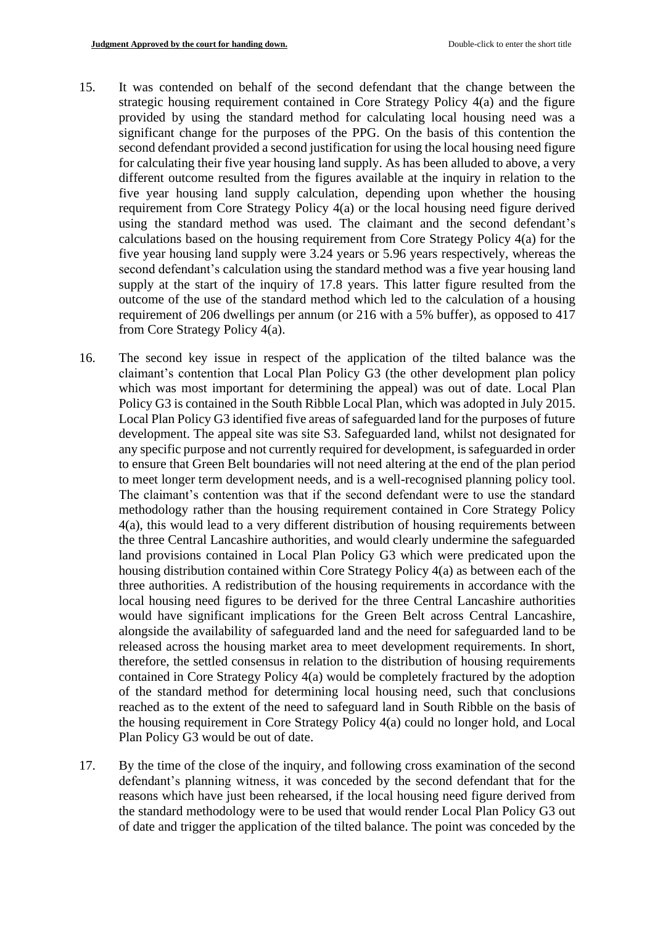- 15. It was contended on behalf of the second defendant that the change between the strategic housing requirement contained in Core Strategy Policy 4(a) and the figure provided by using the standard method for calculating local housing need was a significant change for the purposes of the PPG. On the basis of this contention the second defendant provided a second justification for using the local housing need figure for calculating their five year housing land supply. As has been alluded to above, a very different outcome resulted from the figures available at the inquiry in relation to the five year housing land supply calculation, depending upon whether the housing requirement from Core Strategy Policy 4(a) or the local housing need figure derived using the standard method was used. The claimant and the second defendant's calculations based on the housing requirement from Core Strategy Policy 4(a) for the five year housing land supply were 3.24 years or 5.96 years respectively, whereas the second defendant's calculation using the standard method was a five year housing land supply at the start of the inquiry of 17.8 years. This latter figure resulted from the outcome of the use of the standard method which led to the calculation of a housing requirement of 206 dwellings per annum (or 216 with a 5% buffer), as opposed to 417 from Core Strategy Policy 4(a).
- 16. The second key issue in respect of the application of the tilted balance was the claimant's contention that Local Plan Policy G3 (the other development plan policy which was most important for determining the appeal) was out of date. Local Plan Policy G3 is contained in the South Ribble Local Plan, which was adopted in July 2015. Local Plan Policy G3 identified five areas of safeguarded land for the purposes of future development. The appeal site was site S3. Safeguarded land, whilst not designated for any specific purpose and not currently required for development, issafeguarded in order to ensure that Green Belt boundaries will not need altering at the end of the plan period to meet longer term development needs, and is a well-recognised planning policy tool. The claimant's contention was that if the second defendant were to use the standard methodology rather than the housing requirement contained in Core Strategy Policy 4(a), this would lead to a very different distribution of housing requirements between the three Central Lancashire authorities, and would clearly undermine the safeguarded land provisions contained in Local Plan Policy G3 which were predicated upon the housing distribution contained within Core Strategy Policy 4(a) as between each of the three authorities. A redistribution of the housing requirements in accordance with the local housing need figures to be derived for the three Central Lancashire authorities would have significant implications for the Green Belt across Central Lancashire, alongside the availability of safeguarded land and the need for safeguarded land to be released across the housing market area to meet development requirements. In short, therefore, the settled consensus in relation to the distribution of housing requirements contained in Core Strategy Policy 4(a) would be completely fractured by the adoption of the standard method for determining local housing need, such that conclusions reached as to the extent of the need to safeguard land in South Ribble on the basis of the housing requirement in Core Strategy Policy 4(a) could no longer hold, and Local Plan Policy G3 would be out of date.
- 17. By the time of the close of the inquiry, and following cross examination of the second defendant's planning witness, it was conceded by the second defendant that for the reasons which have just been rehearsed, if the local housing need figure derived from the standard methodology were to be used that would render Local Plan Policy G3 out of date and trigger the application of the tilted balance. The point was conceded by the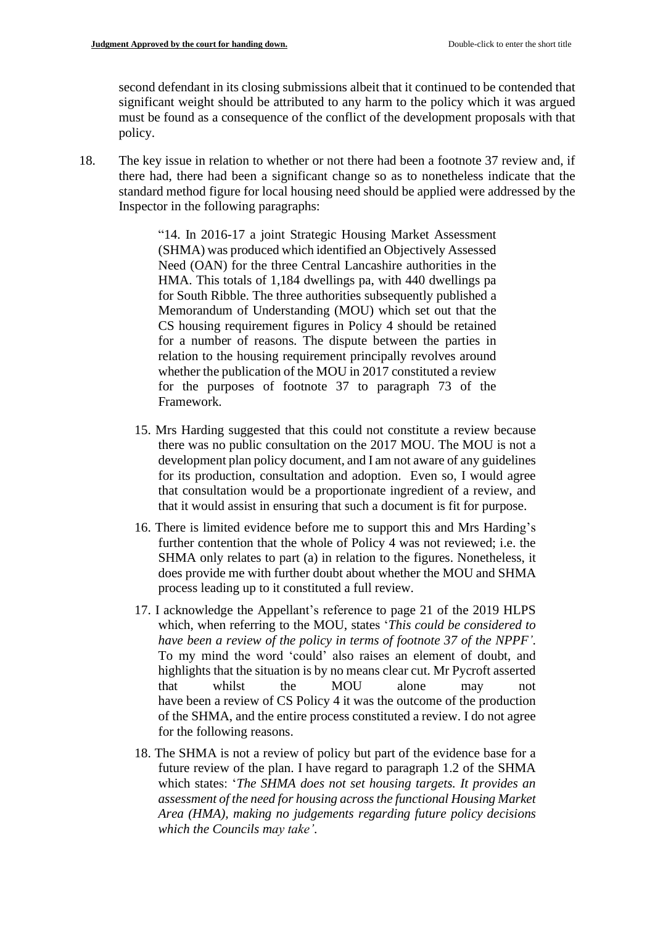second defendant in its closing submissions albeit that it continued to be contended that significant weight should be attributed to any harm to the policy which it was argued must be found as a consequence of the conflict of the development proposals with that policy.

18. The key issue in relation to whether or not there had been a footnote 37 review and, if there had, there had been a significant change so as to nonetheless indicate that the standard method figure for local housing need should be applied were addressed by the Inspector in the following paragraphs:

> "14. In 2016-17 a joint Strategic Housing Market Assessment (SHMA) was produced which identified an Objectively Assessed Need (OAN) for the three Central Lancashire authorities in the HMA. This totals of 1,184 dwellings pa, with 440 dwellings pa for South Ribble. The three authorities subsequently published a Memorandum of Understanding (MOU) which set out that the CS housing requirement figures in Policy 4 should be retained for a number of reasons. The dispute between the parties in relation to the housing requirement principally revolves around whether the publication of the MOU in 2017 constituted a review for the purposes of footnote 37 to paragraph 73 of the Framework.

- 15. Mrs Harding suggested that this could not constitute a review because there was no public consultation on the 2017 MOU. The MOU is not a development plan policy document, and I am not aware of any guidelines for its production, consultation and adoption. Even so, I would agree that consultation would be a proportionate ingredient of a review, and that it would assist in ensuring that such a document is fit for purpose.
- 16. There is limited evidence before me to support this and Mrs Harding's further contention that the whole of Policy 4 was not reviewed; i.e. the SHMA only relates to part (a) in relation to the figures. Nonetheless, it does provide me with further doubt about whether the MOU and SHMA process leading up to it constituted a full review.
- 17. I acknowledge the Appellant's reference to page 21 of the 2019 HLPS which, when referring to the MOU, states '*This could be considered to have been a review of the policy in terms of footnote 37 of the NPPF'*. To my mind the word 'could' also raises an element of doubt, and highlights that the situation is by no means clear cut. Mr Pycroft asserted that whilst the MOU alone may not have been a review of CS Policy 4 it was the outcome of the production of the SHMA, and the entire process constituted a review. I do not agree for the following reasons.
- 18. The SHMA is not a review of policy but part of the evidence base for a future review of the plan. I have regard to paragraph 1.2 of the SHMA which states: '*The SHMA does not set housing targets. It provides an assessment of the need for housing across the functional Housing Market Area (HMA), making no judgements regarding future policy decisions which the Councils may take'*.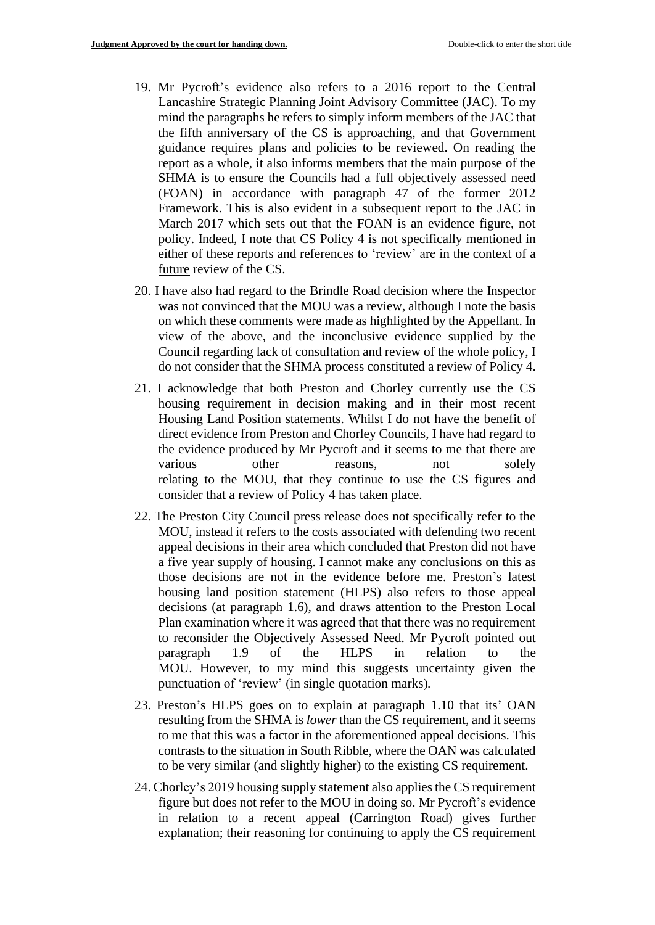- 19. Mr Pycroft's evidence also refers to a 2016 report to the Central Lancashire Strategic Planning Joint Advisory Committee (JAC). To my mind the paragraphs he refers to simply inform members of the JAC that the fifth anniversary of the CS is approaching, and that Government guidance requires plans and policies to be reviewed. On reading the report as a whole, it also informs members that the main purpose of the SHMA is to ensure the Councils had a full objectively assessed need (FOAN) in accordance with paragraph 47 of the former 2012 Framework. This is also evident in a subsequent report to the JAC in March 2017 which sets out that the FOAN is an evidence figure, not policy. Indeed, I note that CS Policy 4 is not specifically mentioned in either of these reports and references to 'review' are in the context of a future review of the CS.
- 20. I have also had regard to the Brindle Road decision where the Inspector was not convinced that the MOU was a review, although I note the basis on which these comments were made as highlighted by the Appellant. In view of the above, and the inconclusive evidence supplied by the Council regarding lack of consultation and review of the whole policy, I do not consider that the SHMA process constituted a review of Policy 4.
- 21. I acknowledge that both Preston and Chorley currently use the CS housing requirement in decision making and in their most recent Housing Land Position statements. Whilst I do not have the benefit of direct evidence from Preston and Chorley Councils, I have had regard to the evidence produced by Mr Pycroft and it seems to me that there are various other reasons, not solely relating to the MOU, that they continue to use the CS figures and consider that a review of Policy 4 has taken place.
- 22. The Preston City Council press release does not specifically refer to the MOU, instead it refers to the costs associated with defending two recent appeal decisions in their area which concluded that Preston did not have a five year supply of housing. I cannot make any conclusions on this as those decisions are not in the evidence before me. Preston's latest housing land position statement (HLPS) also refers to those appeal decisions (at paragraph 1.6), and draws attention to the Preston Local Plan examination where it was agreed that that there was no requirement to reconsider the Objectively Assessed Need. Mr Pycroft pointed out paragraph 1.9 of the HLPS in relation to the MOU. However, to my mind this suggests uncertainty given the punctuation of 'review' (in single quotation marks).
- 23. Preston's HLPS goes on to explain at paragraph 1.10 that its' OAN resulting from the SHMA is *lower* than the CS requirement, and it seems to me that this was a factor in the aforementioned appeal decisions. This contrasts to the situation in South Ribble, where the OAN was calculated to be very similar (and slightly higher) to the existing CS requirement.
- 24. Chorley's 2019 housing supply statement also applies the CS requirement figure but does not refer to the MOU in doing so. Mr Pycroft's evidence in relation to a recent appeal (Carrington Road) gives further explanation; their reasoning for continuing to apply the CS requirement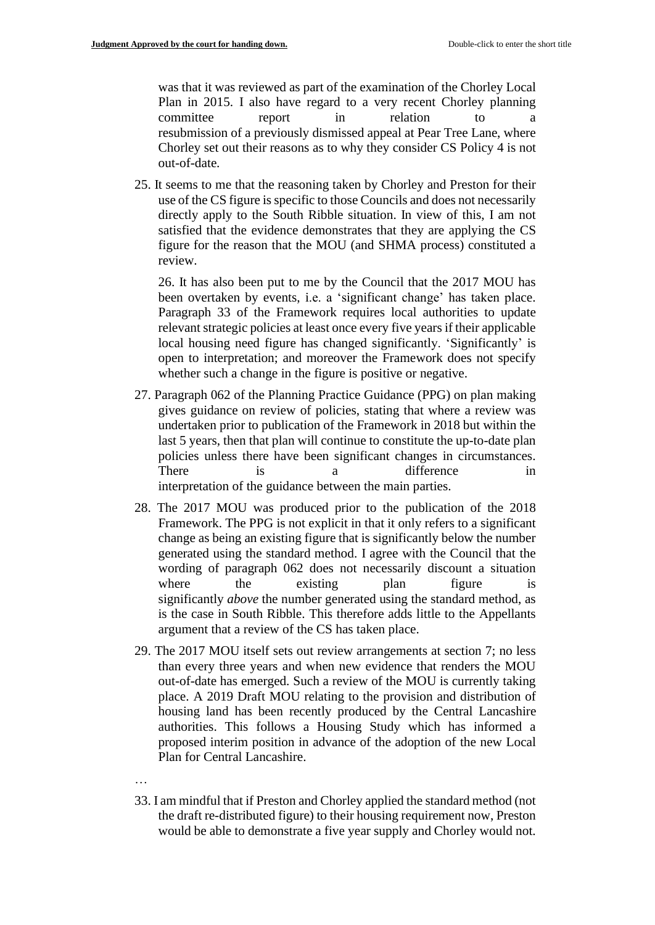was that it was reviewed as part of the examination of the Chorley Local Plan in 2015. I also have regard to a very recent Chorley planning committee report in relation to a resubmission of a previously dismissed appeal at Pear Tree Lane, where Chorley set out their reasons as to why they consider CS Policy 4 is not out-of-date.

25. It seems to me that the reasoning taken by Chorley and Preston for their use of the CS figure is specific to those Councils and does not necessarily directly apply to the South Ribble situation. In view of this, I am not satisfied that the evidence demonstrates that they are applying the CS figure for the reason that the MOU (and SHMA process) constituted a review.

26. It has also been put to me by the Council that the 2017 MOU has been overtaken by events, i.e. a 'significant change' has taken place. Paragraph 33 of the Framework requires local authorities to update relevant strategic policies at least once every five years if their applicable local housing need figure has changed significantly. 'Significantly' is open to interpretation; and moreover the Framework does not specify whether such a change in the figure is positive or negative.

- 27. Paragraph 062 of the Planning Practice Guidance (PPG) on plan making gives guidance on review of policies, stating that where a review was undertaken prior to publication of the Framework in 2018 but within the last 5 years, then that plan will continue to constitute the up-to-date plan policies unless there have been significant changes in circumstances. There is a difference in interpretation of the guidance between the main parties.
- 28. The 2017 MOU was produced prior to the publication of the 2018 Framework. The PPG is not explicit in that it only refers to a significant change as being an existing figure that is significantly below the number generated using the standard method. I agree with the Council that the wording of paragraph 062 does not necessarily discount a situation where the existing plan figure significantly *above* the number generated using the standard method, as is the case in South Ribble. This therefore adds little to the Appellants argument that a review of the CS has taken place.
- 29. The 2017 MOU itself sets out review arrangements at section 7; no less than every three years and when new evidence that renders the MOU out-of-date has emerged. Such a review of the MOU is currently taking place. A 2019 Draft MOU relating to the provision and distribution of housing land has been recently produced by the Central Lancashire authorities. This follows a Housing Study which has informed a proposed interim position in advance of the adoption of the new Local Plan for Central Lancashire.
- …
- 33. I am mindful that if Preston and Chorley applied the standard method (not the draft re-distributed figure) to their housing requirement now, Preston would be able to demonstrate a five year supply and Chorley would not.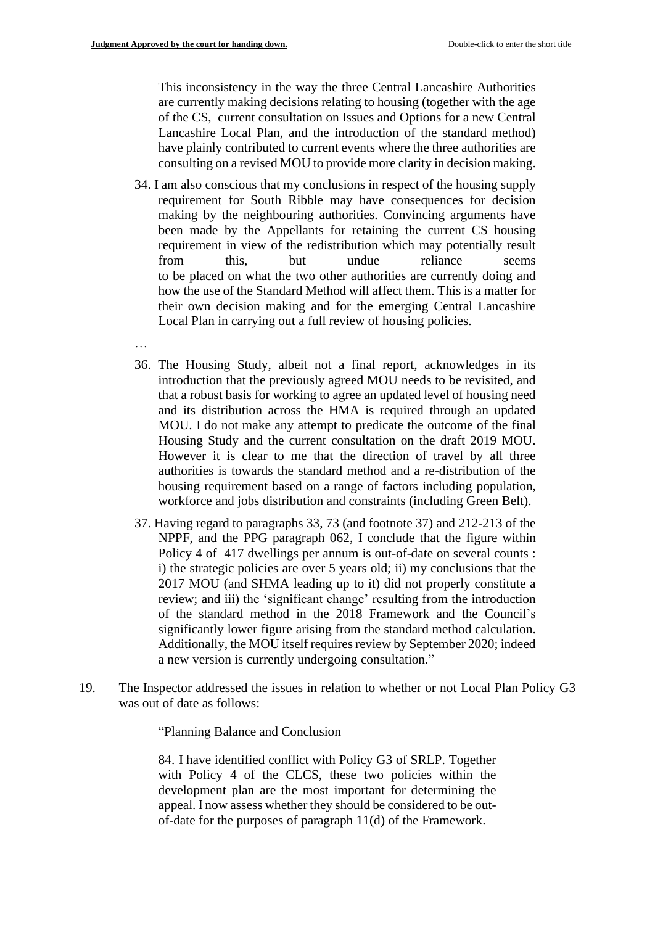…

This inconsistency in the way the three Central Lancashire Authorities are currently making decisions relating to housing (together with the age of the CS, current consultation on Issues and Options for a new Central Lancashire Local Plan, and the introduction of the standard method) have plainly contributed to current events where the three authorities are consulting on a revised MOU to provide more clarity in decision making.

- 34. I am also conscious that my conclusions in respect of the housing supply requirement for South Ribble may have consequences for decision making by the neighbouring authorities. Convincing arguments have been made by the Appellants for retaining the current CS housing requirement in view of the redistribution which may potentially result from this, but undue reliance seems to be placed on what the two other authorities are currently doing and how the use of the Standard Method will affect them. This is a matter for their own decision making and for the emerging Central Lancashire Local Plan in carrying out a full review of housing policies.
- 36. The Housing Study, albeit not a final report, acknowledges in its introduction that the previously agreed MOU needs to be revisited, and that a robust basis for working to agree an updated level of housing need and its distribution across the HMA is required through an updated MOU. I do not make any attempt to predicate the outcome of the final Housing Study and the current consultation on the draft 2019 MOU. However it is clear to me that the direction of travel by all three authorities is towards the standard method and a re-distribution of the housing requirement based on a range of factors including population, workforce and jobs distribution and constraints (including Green Belt).
- 37. Having regard to paragraphs 33, 73 (and footnote 37) and 212-213 of the NPPF, and the PPG paragraph 062, I conclude that the figure within Policy 4 of 417 dwellings per annum is out-of-date on several counts : i) the strategic policies are over 5 years old; ii) my conclusions that the 2017 MOU (and SHMA leading up to it) did not properly constitute a review; and iii) the 'significant change' resulting from the introduction of the standard method in the 2018 Framework and the Council's significantly lower figure arising from the standard method calculation. Additionally, the MOU itself requires review by September 2020; indeed a new version is currently undergoing consultation."
- 19. The Inspector addressed the issues in relation to whether or not Local Plan Policy G3 was out of date as follows:

"Planning Balance and Conclusion

84. I have identified conflict with Policy G3 of SRLP. Together with Policy 4 of the CLCS, these two policies within the development plan are the most important for determining the appeal. I now assess whether they should be considered to be outof-date for the purposes of paragraph 11(d) of the Framework.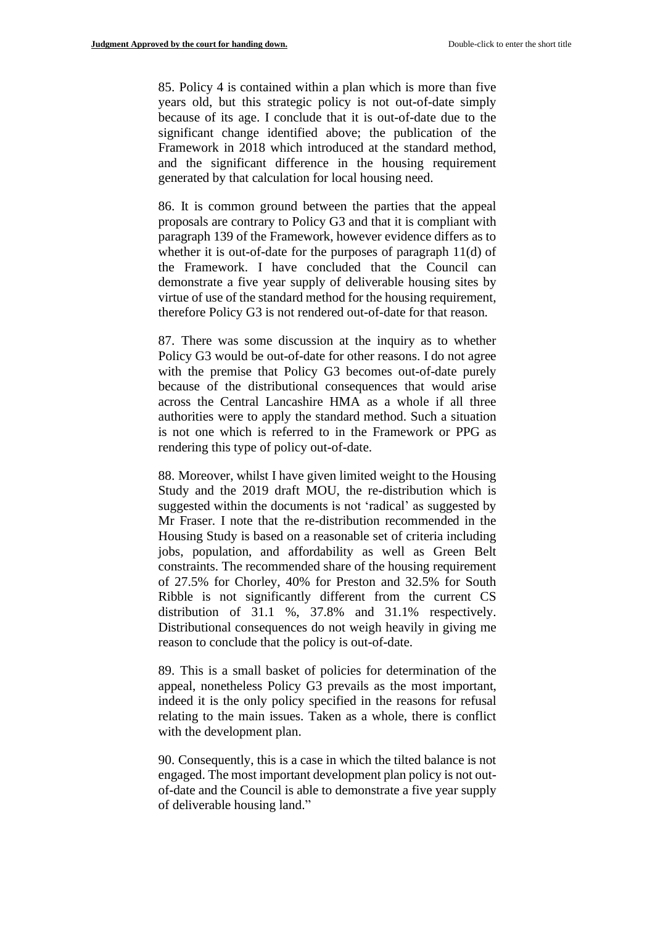85. Policy 4 is contained within a plan which is more than five years old, but this strategic policy is not out-of-date simply because of its age. I conclude that it is out-of-date due to the significant change identified above; the publication of the Framework in 2018 which introduced at the standard method, and the significant difference in the housing requirement generated by that calculation for local housing need.

86. It is common ground between the parties that the appeal proposals are contrary to Policy G3 and that it is compliant with paragraph 139 of the Framework, however evidence differs as to whether it is out-of-date for the purposes of paragraph 11(d) of the Framework. I have concluded that the Council can demonstrate a five year supply of deliverable housing sites by virtue of use of the standard method for the housing requirement, therefore Policy G3 is not rendered out-of-date for that reason.

87. There was some discussion at the inquiry as to whether Policy G3 would be out-of-date for other reasons. I do not agree with the premise that Policy G3 becomes out-of-date purely because of the distributional consequences that would arise across the Central Lancashire HMA as a whole if all three authorities were to apply the standard method. Such a situation is not one which is referred to in the Framework or PPG as rendering this type of policy out-of-date.

88. Moreover, whilst I have given limited weight to the Housing Study and the 2019 draft MOU, the re-distribution which is suggested within the documents is not 'radical' as suggested by Mr Fraser. I note that the re-distribution recommended in the Housing Study is based on a reasonable set of criteria including jobs, population, and affordability as well as Green Belt constraints. The recommended share of the housing requirement of 27.5% for Chorley, 40% for Preston and 32.5% for South Ribble is not significantly different from the current CS distribution of 31.1 %, 37.8% and 31.1% respectively. Distributional consequences do not weigh heavily in giving me reason to conclude that the policy is out-of-date.

89. This is a small basket of policies for determination of the appeal, nonetheless Policy G3 prevails as the most important, indeed it is the only policy specified in the reasons for refusal relating to the main issues. Taken as a whole, there is conflict with the development plan.

90. Consequently, this is a case in which the tilted balance is not engaged. The most important development plan policy is not outof-date and the Council is able to demonstrate a five year supply of deliverable housing land."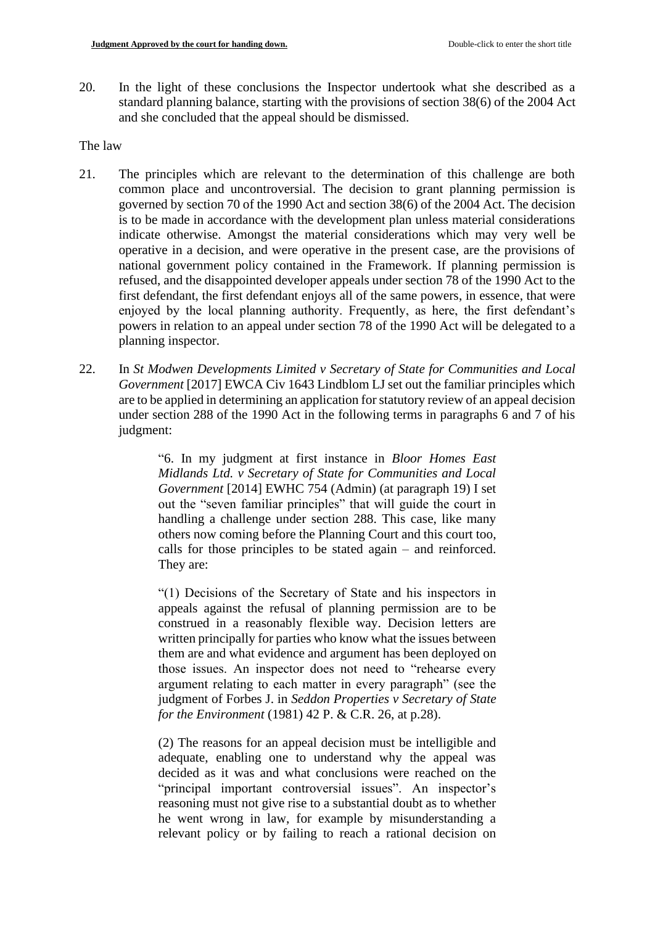20. In the light of these conclusions the Inspector undertook what she described as a standard planning balance, starting with the provisions of section 38(6) of the 2004 Act and she concluded that the appeal should be dismissed.

#### The law

- 21. The principles which are relevant to the determination of this challenge are both common place and uncontroversial. The decision to grant planning permission is governed by section 70 of the 1990 Act and section 38(6) of the 2004 Act. The decision is to be made in accordance with the development plan unless material considerations indicate otherwise. Amongst the material considerations which may very well be operative in a decision, and were operative in the present case, are the provisions of national government policy contained in the Framework. If planning permission is refused, and the disappointed developer appeals under section 78 of the 1990 Act to the first defendant, the first defendant enjoys all of the same powers, in essence, that were enjoyed by the local planning authority. Frequently, as here, the first defendant's powers in relation to an appeal under section 78 of the 1990 Act will be delegated to a planning inspector.
- 22. In *St Modwen Developments Limited v Secretary of State for Communities and Local Government* [2017] EWCA Civ 1643 Lindblom LJ set out the familiar principles which are to be applied in determining an application for statutory review of an appeal decision under section 288 of the 1990 Act in the following terms in paragraphs 6 and 7 of his judgment:

"6. In my judgment at first instance in *Bloor Homes East Midlands Ltd. v Secretary of State for Communities and Local Government* [2014] EWHC 754 (Admin) (at paragraph 19) I set out the "seven familiar principles" that will guide the court in handling a challenge under section 288. This case, like many others now coming before the Planning Court and this court too, calls for those principles to be stated again – and reinforced. They are:

"(1) Decisions of the Secretary of State and his inspectors in appeals against the refusal of planning permission are to be construed in a reasonably flexible way. Decision letters are written principally for parties who know what the issues between them are and what evidence and argument has been deployed on those issues. An inspector does not need to "rehearse every argument relating to each matter in every paragraph" (see the judgment of Forbes J. in *Seddon Properties v Secretary of State for the Environment* (1981) 42 P. & C.R. 26, at p.28).

(2) The reasons for an appeal decision must be intelligible and adequate, enabling one to understand why the appeal was decided as it was and what conclusions were reached on the "principal important controversial issues". An inspector's reasoning must not give rise to a substantial doubt as to whether he went wrong in law, for example by misunderstanding a relevant policy or by failing to reach a rational decision on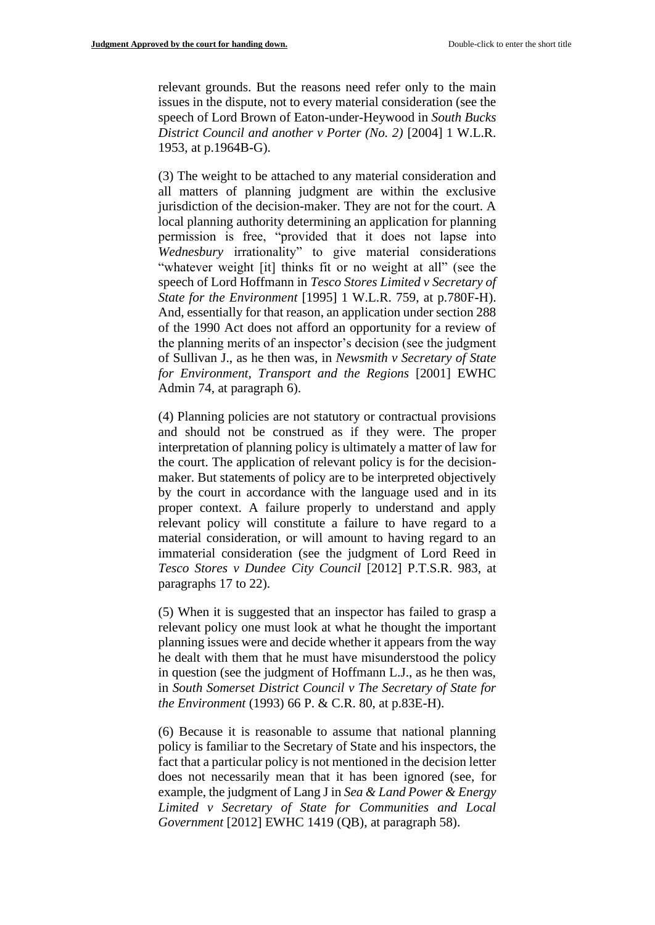relevant grounds. But the reasons need refer only to the main issues in the dispute, not to every material consideration (see the speech of Lord Brown of Eaton-under-Heywood in *South Bucks District Council and another v Porter (No. 2)* [2004] 1 W.L.R. 1953, at p.1964B-G).

(3) The weight to be attached to any material consideration and all matters of planning judgment are within the exclusive jurisdiction of the decision-maker. They are not for the court. A local planning authority determining an application for planning permission is free, "provided that it does not lapse into *Wednesbury* irrationality" to give material considerations "whatever weight [it] thinks fit or no weight at all" (see the speech of Lord Hoffmann in *Tesco Stores Limited v Secretary of State for the Environment* [1995] 1 W.L.R. 759, at p.780F-H). And, essentially for that reason, an application under section 288 of the 1990 Act does not afford an opportunity for a review of the planning merits of an inspector's decision (see the judgment of Sullivan J., as he then was, in *Newsmith v Secretary of State for Environment, Transport and the Regions* [2001] EWHC Admin 74, at paragraph 6).

(4) Planning policies are not statutory or contractual provisions and should not be construed as if they were. The proper interpretation of planning policy is ultimately a matter of law for the court. The application of relevant policy is for the decisionmaker. But statements of policy are to be interpreted objectively by the court in accordance with the language used and in its proper context. A failure properly to understand and apply relevant policy will constitute a failure to have regard to a material consideration, or will amount to having regard to an immaterial consideration (see the judgment of Lord Reed in *Tesco Stores v Dundee City Council* [2012] P.T.S.R. 983, at paragraphs 17 to 22).

(5) When it is suggested that an inspector has failed to grasp a relevant policy one must look at what he thought the important planning issues were and decide whether it appears from the way he dealt with them that he must have misunderstood the policy in question (see the judgment of Hoffmann L.J., as he then was, in *South Somerset District Council v The Secretary of State for the Environment* (1993) 66 P. & C.R. 80, at p.83E-H).

(6) Because it is reasonable to assume that national planning policy is familiar to the Secretary of State and his inspectors, the fact that a particular policy is not mentioned in the decision letter does not necessarily mean that it has been ignored (see, for example, the judgment of Lang J in *Sea & Land Power & Energy Limited v Secretary of State for Communities and Local Government* [2012] EWHC 1419 (QB), at paragraph 58).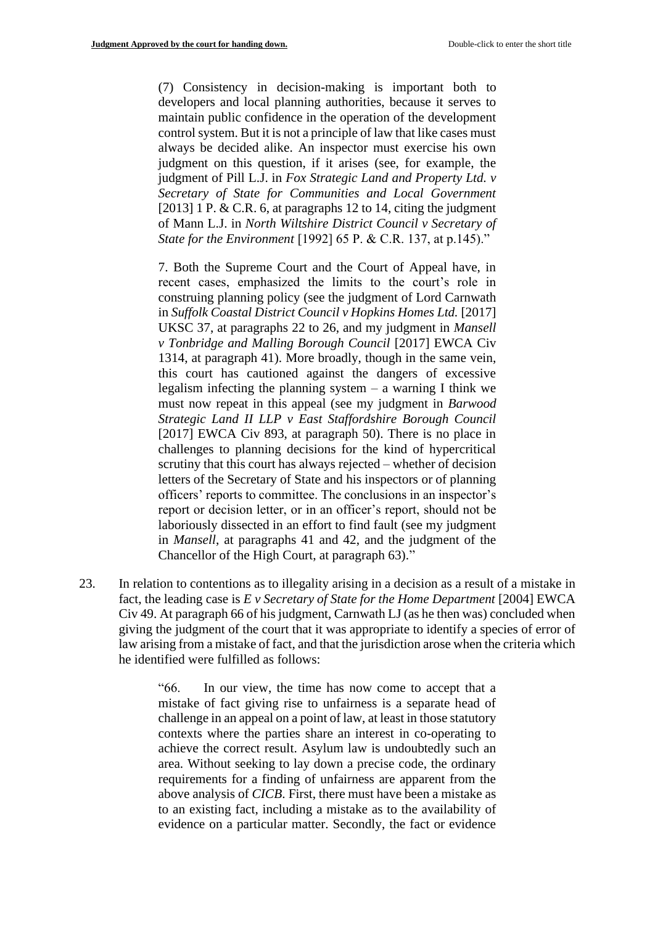(7) Consistency in decision-making is important both to developers and local planning authorities, because it serves to maintain public confidence in the operation of the development control system. But it is not a principle of law that like cases must always be decided alike. An inspector must exercise his own judgment on this question, if it arises (see, for example, the judgment of Pill L.J. in *Fox Strategic Land and Property Ltd. v Secretary of State for Communities and Local Government*  [2013] 1 P. & C.R. 6, at paragraphs 12 to 14, citing the judgment of Mann L.J. in *North Wiltshire District Council v Secretary of State for the Environment* [1992] 65 P. & C.R. 137, at p.145)."

7. Both the Supreme Court and the Court of Appeal have, in recent cases, emphasized the limits to the court's role in construing planning policy (see the judgment of Lord Carnwath in *Suffolk Coastal District Council v Hopkins Homes Ltd.* [2017] UKSC 37, at paragraphs 22 to 26, and my judgment in *Mansell v Tonbridge and Malling Borough Council* [2017] EWCA Civ 1314, at paragraph 41). More broadly, though in the same vein, this court has cautioned against the dangers of excessive legalism infecting the planning system – a warning I think we must now repeat in this appeal (see my judgment in *Barwood Strategic Land II LLP v East Staffordshire Borough Council*  [2017] EWCA Civ 893, at paragraph 50). There is no place in challenges to planning decisions for the kind of hypercritical scrutiny that this court has always rejected – whether of decision letters of the Secretary of State and his inspectors or of planning officers' reports to committee. The conclusions in an inspector's report or decision letter, or in an officer's report, should not be laboriously dissected in an effort to find fault (see my judgment in *Mansell*, at paragraphs 41 and 42, and the judgment of the Chancellor of the High Court, at paragraph 63)."

23. In relation to contentions as to illegality arising in a decision as a result of a mistake in fact, the leading case is *E v Secretary of State for the Home Department* [2004] EWCA Civ 49. At paragraph 66 of his judgment, Carnwath LJ (as he then was) concluded when giving the judgment of the court that it was appropriate to identify a species of error of law arising from a mistake of fact, and that the jurisdiction arose when the criteria which he identified were fulfilled as follows:

> "66. In our view, the time has now come to accept that a mistake of fact giving rise to unfairness is a separate head of challenge in an appeal on a point of law, at least in those statutory contexts where the parties share an interest in co-operating to achieve the correct result. Asylum law is undoubtedly such an area. Without seeking to lay down a precise code, the ordinary requirements for a finding of unfairness are apparent from the above analysis of *CICB*. First, there must have been a mistake as to an existing fact, including a mistake as to the availability of evidence on a particular matter. Secondly, the fact or evidence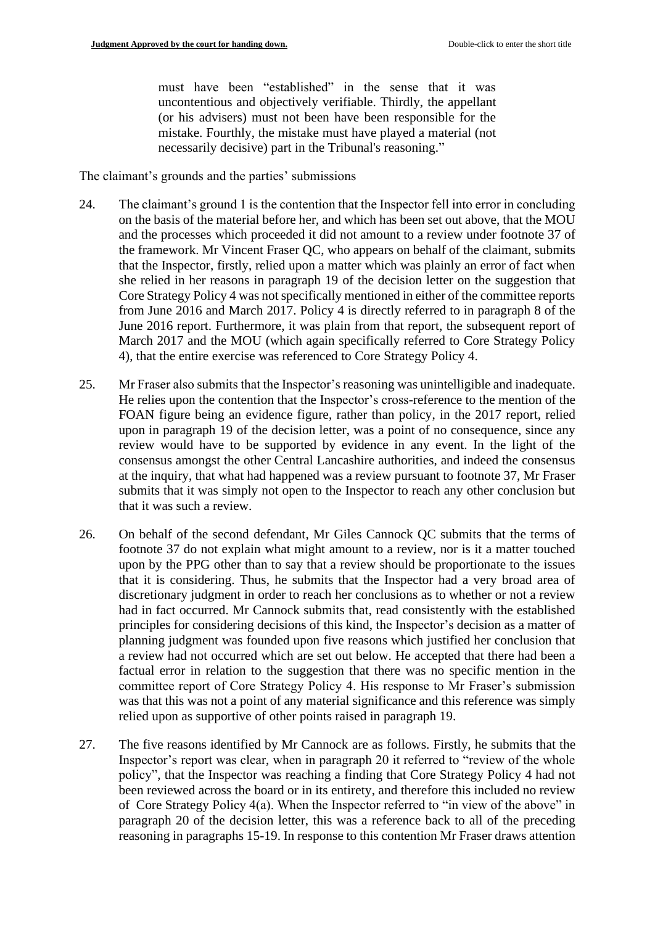must have been "established" in the sense that it was uncontentious and objectively verifiable. Thirdly, the appellant (or his advisers) must not been have been responsible for the mistake. Fourthly, the mistake must have played a material (not necessarily decisive) part in the Tribunal's reasoning."

The claimant's grounds and the parties' submissions

- 24. The claimant's ground 1 is the contention that the Inspector fell into error in concluding on the basis of the material before her, and which has been set out above, that the MOU and the processes which proceeded it did not amount to a review under footnote 37 of the framework. Mr Vincent Fraser QC, who appears on behalf of the claimant, submits that the Inspector, firstly, relied upon a matter which was plainly an error of fact when she relied in her reasons in paragraph 19 of the decision letter on the suggestion that Core Strategy Policy 4 was not specifically mentioned in either of the committee reports from June 2016 and March 2017. Policy 4 is directly referred to in paragraph 8 of the June 2016 report. Furthermore, it was plain from that report, the subsequent report of March 2017 and the MOU (which again specifically referred to Core Strategy Policy 4), that the entire exercise was referenced to Core Strategy Policy 4.
- 25. Mr Fraser also submits that the Inspector's reasoning was unintelligible and inadequate. He relies upon the contention that the Inspector's cross-reference to the mention of the FOAN figure being an evidence figure, rather than policy, in the 2017 report, relied upon in paragraph 19 of the decision letter, was a point of no consequence, since any review would have to be supported by evidence in any event. In the light of the consensus amongst the other Central Lancashire authorities, and indeed the consensus at the inquiry, that what had happened was a review pursuant to footnote 37, Mr Fraser submits that it was simply not open to the Inspector to reach any other conclusion but that it was such a review.
- 26. On behalf of the second defendant, Mr Giles Cannock QC submits that the terms of footnote 37 do not explain what might amount to a review, nor is it a matter touched upon by the PPG other than to say that a review should be proportionate to the issues that it is considering. Thus, he submits that the Inspector had a very broad area of discretionary judgment in order to reach her conclusions as to whether or not a review had in fact occurred. Mr Cannock submits that, read consistently with the established principles for considering decisions of this kind, the Inspector's decision as a matter of planning judgment was founded upon five reasons which justified her conclusion that a review had not occurred which are set out below. He accepted that there had been a factual error in relation to the suggestion that there was no specific mention in the committee report of Core Strategy Policy 4. His response to Mr Fraser's submission was that this was not a point of any material significance and this reference was simply relied upon as supportive of other points raised in paragraph 19.
- 27. The five reasons identified by Mr Cannock are as follows. Firstly, he submits that the Inspector's report was clear, when in paragraph 20 it referred to "review of the whole policy", that the Inspector was reaching a finding that Core Strategy Policy 4 had not been reviewed across the board or in its entirety, and therefore this included no review of Core Strategy Policy 4(a). When the Inspector referred to "in view of the above" in paragraph 20 of the decision letter, this was a reference back to all of the preceding reasoning in paragraphs 15-19. In response to this contention Mr Fraser draws attention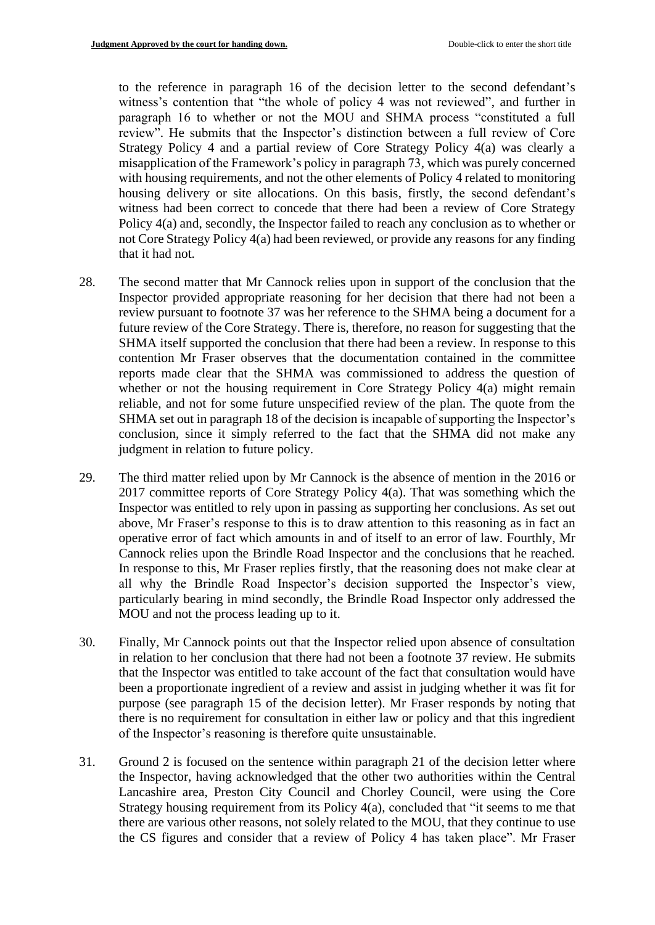to the reference in paragraph 16 of the decision letter to the second defendant's witness's contention that "the whole of policy 4 was not reviewed", and further in paragraph 16 to whether or not the MOU and SHMA process "constituted a full review". He submits that the Inspector's distinction between a full review of Core Strategy Policy 4 and a partial review of Core Strategy Policy 4(a) was clearly a misapplication of the Framework's policy in paragraph 73, which was purely concerned with housing requirements, and not the other elements of Policy 4 related to monitoring housing delivery or site allocations. On this basis, firstly, the second defendant's witness had been correct to concede that there had been a review of Core Strategy Policy 4(a) and, secondly, the Inspector failed to reach any conclusion as to whether or not Core Strategy Policy 4(a) had been reviewed, or provide any reasons for any finding that it had not.

- 28. The second matter that Mr Cannock relies upon in support of the conclusion that the Inspector provided appropriate reasoning for her decision that there had not been a review pursuant to footnote 37 was her reference to the SHMA being a document for a future review of the Core Strategy. There is, therefore, no reason for suggesting that the SHMA itself supported the conclusion that there had been a review. In response to this contention Mr Fraser observes that the documentation contained in the committee reports made clear that the SHMA was commissioned to address the question of whether or not the housing requirement in Core Strategy Policy 4(a) might remain reliable, and not for some future unspecified review of the plan. The quote from the SHMA set out in paragraph 18 of the decision is incapable of supporting the Inspector's conclusion, since it simply referred to the fact that the SHMA did not make any judgment in relation to future policy.
- 29. The third matter relied upon by Mr Cannock is the absence of mention in the 2016 or 2017 committee reports of Core Strategy Policy 4(a). That was something which the Inspector was entitled to rely upon in passing as supporting her conclusions. As set out above, Mr Fraser's response to this is to draw attention to this reasoning as in fact an operative error of fact which amounts in and of itself to an error of law. Fourthly, Mr Cannock relies upon the Brindle Road Inspector and the conclusions that he reached. In response to this, Mr Fraser replies firstly, that the reasoning does not make clear at all why the Brindle Road Inspector's decision supported the Inspector's view, particularly bearing in mind secondly, the Brindle Road Inspector only addressed the MOU and not the process leading up to it.
- 30. Finally, Mr Cannock points out that the Inspector relied upon absence of consultation in relation to her conclusion that there had not been a footnote 37 review. He submits that the Inspector was entitled to take account of the fact that consultation would have been a proportionate ingredient of a review and assist in judging whether it was fit for purpose (see paragraph 15 of the decision letter). Mr Fraser responds by noting that there is no requirement for consultation in either law or policy and that this ingredient of the Inspector's reasoning is therefore quite unsustainable.
- 31. Ground 2 is focused on the sentence within paragraph 21 of the decision letter where the Inspector, having acknowledged that the other two authorities within the Central Lancashire area, Preston City Council and Chorley Council, were using the Core Strategy housing requirement from its Policy 4(a), concluded that "it seems to me that there are various other reasons, not solely related to the MOU, that they continue to use the CS figures and consider that a review of Policy 4 has taken place". Mr Fraser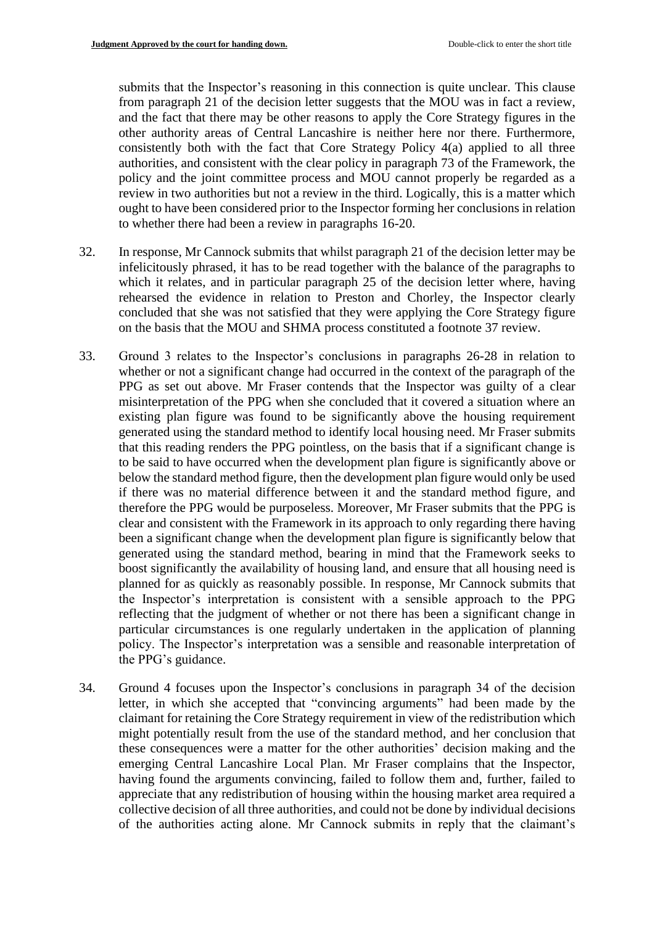submits that the Inspector's reasoning in this connection is quite unclear. This clause from paragraph 21 of the decision letter suggests that the MOU was in fact a review, and the fact that there may be other reasons to apply the Core Strategy figures in the other authority areas of Central Lancashire is neither here nor there. Furthermore, consistently both with the fact that Core Strategy Policy 4(a) applied to all three authorities, and consistent with the clear policy in paragraph 73 of the Framework, the policy and the joint committee process and MOU cannot properly be regarded as a review in two authorities but not a review in the third. Logically, this is a matter which ought to have been considered prior to the Inspector forming her conclusions in relation to whether there had been a review in paragraphs 16-20.

- 32. In response, Mr Cannock submits that whilst paragraph 21 of the decision letter may be infelicitously phrased, it has to be read together with the balance of the paragraphs to which it relates, and in particular paragraph 25 of the decision letter where, having rehearsed the evidence in relation to Preston and Chorley, the Inspector clearly concluded that she was not satisfied that they were applying the Core Strategy figure on the basis that the MOU and SHMA process constituted a footnote 37 review.
- 33. Ground 3 relates to the Inspector's conclusions in paragraphs 26-28 in relation to whether or not a significant change had occurred in the context of the paragraph of the PPG as set out above. Mr Fraser contends that the Inspector was guilty of a clear misinterpretation of the PPG when she concluded that it covered a situation where an existing plan figure was found to be significantly above the housing requirement generated using the standard method to identify local housing need. Mr Fraser submits that this reading renders the PPG pointless, on the basis that if a significant change is to be said to have occurred when the development plan figure is significantly above or below the standard method figure, then the development plan figure would only be used if there was no material difference between it and the standard method figure, and therefore the PPG would be purposeless. Moreover, Mr Fraser submits that the PPG is clear and consistent with the Framework in its approach to only regarding there having been a significant change when the development plan figure is significantly below that generated using the standard method, bearing in mind that the Framework seeks to boost significantly the availability of housing land, and ensure that all housing need is planned for as quickly as reasonably possible. In response, Mr Cannock submits that the Inspector's interpretation is consistent with a sensible approach to the PPG reflecting that the judgment of whether or not there has been a significant change in particular circumstances is one regularly undertaken in the application of planning policy. The Inspector's interpretation was a sensible and reasonable interpretation of the PPG's guidance.
- 34. Ground 4 focuses upon the Inspector's conclusions in paragraph 34 of the decision letter, in which she accepted that "convincing arguments" had been made by the claimant for retaining the Core Strategy requirement in view of the redistribution which might potentially result from the use of the standard method, and her conclusion that these consequences were a matter for the other authorities' decision making and the emerging Central Lancashire Local Plan. Mr Fraser complains that the Inspector, having found the arguments convincing, failed to follow them and, further, failed to appreciate that any redistribution of housing within the housing market area required a collective decision of all three authorities, and could not be done by individual decisions of the authorities acting alone. Mr Cannock submits in reply that the claimant's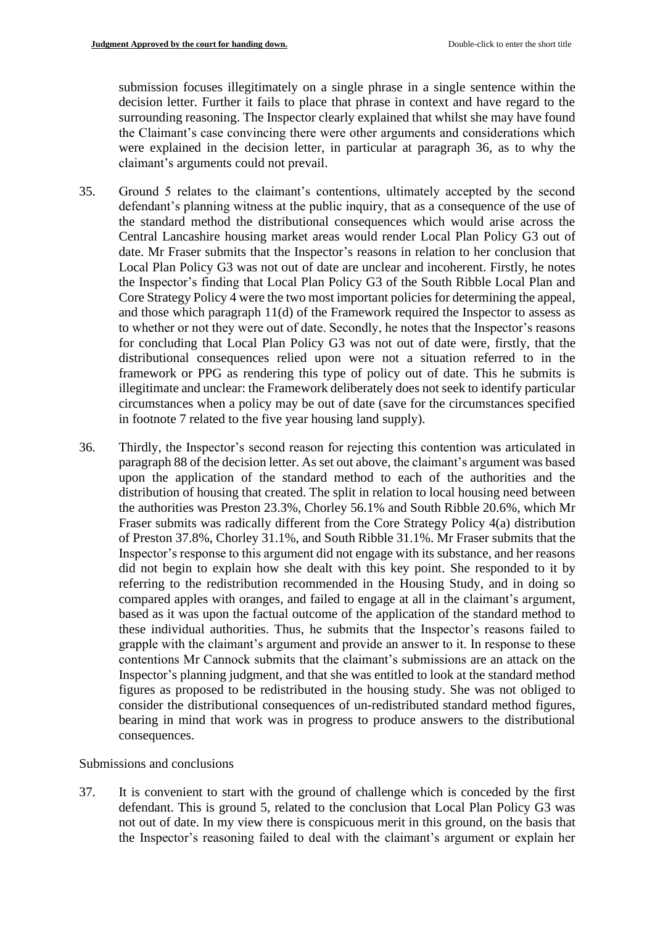submission focuses illegitimately on a single phrase in a single sentence within the decision letter. Further it fails to place that phrase in context and have regard to the surrounding reasoning. The Inspector clearly explained that whilst she may have found the Claimant's case convincing there were other arguments and considerations which were explained in the decision letter, in particular at paragraph 36, as to why the claimant's arguments could not prevail.

- 35. Ground 5 relates to the claimant's contentions, ultimately accepted by the second defendant's planning witness at the public inquiry, that as a consequence of the use of the standard method the distributional consequences which would arise across the Central Lancashire housing market areas would render Local Plan Policy G3 out of date. Mr Fraser submits that the Inspector's reasons in relation to her conclusion that Local Plan Policy G3 was not out of date are unclear and incoherent. Firstly, he notes the Inspector's finding that Local Plan Policy G3 of the South Ribble Local Plan and Core Strategy Policy 4 were the two most important policies for determining the appeal, and those which paragraph 11(d) of the Framework required the Inspector to assess as to whether or not they were out of date. Secondly, he notes that the Inspector's reasons for concluding that Local Plan Policy G3 was not out of date were, firstly, that the distributional consequences relied upon were not a situation referred to in the framework or PPG as rendering this type of policy out of date. This he submits is illegitimate and unclear: the Framework deliberately does not seek to identify particular circumstances when a policy may be out of date (save for the circumstances specified in footnote 7 related to the five year housing land supply).
- 36. Thirdly, the Inspector's second reason for rejecting this contention was articulated in paragraph 88 of the decision letter. As set out above, the claimant's argument was based upon the application of the standard method to each of the authorities and the distribution of housing that created. The split in relation to local housing need between the authorities was Preston 23.3%, Chorley 56.1% and South Ribble 20.6%, which Mr Fraser submits was radically different from the Core Strategy Policy 4(a) distribution of Preston 37.8%, Chorley 31.1%, and South Ribble 31.1%. Mr Fraser submits that the Inspector's response to this argument did not engage with its substance, and her reasons did not begin to explain how she dealt with this key point. She responded to it by referring to the redistribution recommended in the Housing Study, and in doing so compared apples with oranges, and failed to engage at all in the claimant's argument, based as it was upon the factual outcome of the application of the standard method to these individual authorities. Thus, he submits that the Inspector's reasons failed to grapple with the claimant's argument and provide an answer to it. In response to these contentions Mr Cannock submits that the claimant's submissions are an attack on the Inspector's planning judgment, and that she was entitled to look at the standard method figures as proposed to be redistributed in the housing study. She was not obliged to consider the distributional consequences of un-redistributed standard method figures, bearing in mind that work was in progress to produce answers to the distributional consequences.

# Submissions and conclusions

37. It is convenient to start with the ground of challenge which is conceded by the first defendant. This is ground 5, related to the conclusion that Local Plan Policy G3 was not out of date. In my view there is conspicuous merit in this ground, on the basis that the Inspector's reasoning failed to deal with the claimant's argument or explain her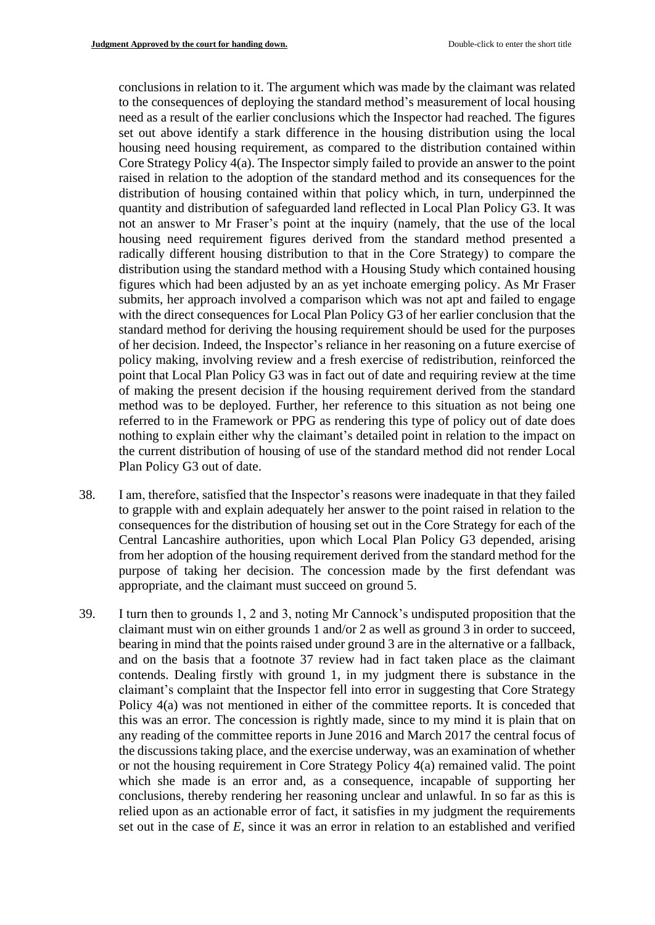conclusions in relation to it. The argument which was made by the claimant was related to the consequences of deploying the standard method's measurement of local housing need as a result of the earlier conclusions which the Inspector had reached. The figures set out above identify a stark difference in the housing distribution using the local housing need housing requirement, as compared to the distribution contained within Core Strategy Policy 4(a). The Inspector simply failed to provide an answer to the point raised in relation to the adoption of the standard method and its consequences for the distribution of housing contained within that policy which, in turn, underpinned the quantity and distribution of safeguarded land reflected in Local Plan Policy G3. It was not an answer to Mr Fraser's point at the inquiry (namely, that the use of the local housing need requirement figures derived from the standard method presented a radically different housing distribution to that in the Core Strategy) to compare the distribution using the standard method with a Housing Study which contained housing figures which had been adjusted by an as yet inchoate emerging policy. As Mr Fraser submits, her approach involved a comparison which was not apt and failed to engage with the direct consequences for Local Plan Policy G3 of her earlier conclusion that the standard method for deriving the housing requirement should be used for the purposes of her decision. Indeed, the Inspector's reliance in her reasoning on a future exercise of policy making, involving review and a fresh exercise of redistribution, reinforced the point that Local Plan Policy G3 was in fact out of date and requiring review at the time of making the present decision if the housing requirement derived from the standard method was to be deployed. Further, her reference to this situation as not being one referred to in the Framework or PPG as rendering this type of policy out of date does nothing to explain either why the claimant's detailed point in relation to the impact on the current distribution of housing of use of the standard method did not render Local Plan Policy G3 out of date.

- 38. I am, therefore, satisfied that the Inspector's reasons were inadequate in that they failed to grapple with and explain adequately her answer to the point raised in relation to the consequences for the distribution of housing set out in the Core Strategy for each of the Central Lancashire authorities, upon which Local Plan Policy G3 depended, arising from her adoption of the housing requirement derived from the standard method for the purpose of taking her decision. The concession made by the first defendant was appropriate, and the claimant must succeed on ground 5.
- 39. I turn then to grounds 1, 2 and 3, noting Mr Cannock's undisputed proposition that the claimant must win on either grounds 1 and/or 2 as well as ground 3 in order to succeed, bearing in mind that the points raised under ground 3 are in the alternative or a fallback, and on the basis that a footnote 37 review had in fact taken place as the claimant contends. Dealing firstly with ground 1, in my judgment there is substance in the claimant's complaint that the Inspector fell into error in suggesting that Core Strategy Policy 4(a) was not mentioned in either of the committee reports. It is conceded that this was an error. The concession is rightly made, since to my mind it is plain that on any reading of the committee reports in June 2016 and March 2017 the central focus of the discussions taking place, and the exercise underway, was an examination of whether or not the housing requirement in Core Strategy Policy 4(a) remained valid. The point which she made is an error and, as a consequence, incapable of supporting her conclusions, thereby rendering her reasoning unclear and unlawful. In so far as this is relied upon as an actionable error of fact, it satisfies in my judgment the requirements set out in the case of *E*, since it was an error in relation to an established and verified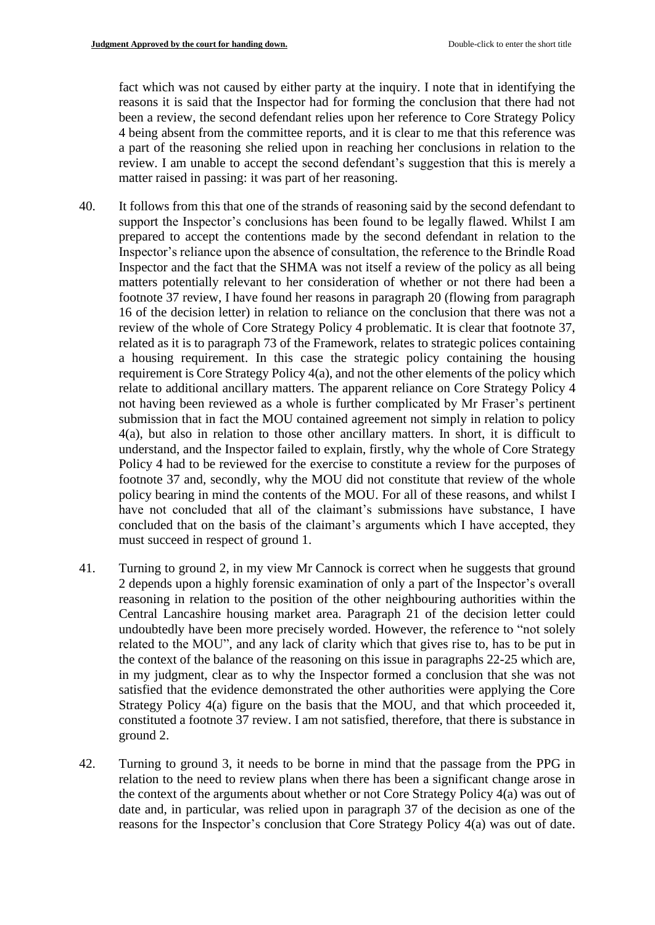fact which was not caused by either party at the inquiry. I note that in identifying the reasons it is said that the Inspector had for forming the conclusion that there had not been a review, the second defendant relies upon her reference to Core Strategy Policy 4 being absent from the committee reports, and it is clear to me that this reference was a part of the reasoning she relied upon in reaching her conclusions in relation to the review. I am unable to accept the second defendant's suggestion that this is merely a matter raised in passing: it was part of her reasoning.

- 40. It follows from this that one of the strands of reasoning said by the second defendant to support the Inspector's conclusions has been found to be legally flawed. Whilst I am prepared to accept the contentions made by the second defendant in relation to the Inspector's reliance upon the absence of consultation, the reference to the Brindle Road Inspector and the fact that the SHMA was not itself a review of the policy as all being matters potentially relevant to her consideration of whether or not there had been a footnote 37 review, I have found her reasons in paragraph 20 (flowing from paragraph 16 of the decision letter) in relation to reliance on the conclusion that there was not a review of the whole of Core Strategy Policy 4 problematic. It is clear that footnote 37, related as it is to paragraph 73 of the Framework, relates to strategic polices containing a housing requirement. In this case the strategic policy containing the housing requirement is Core Strategy Policy 4(a), and not the other elements of the policy which relate to additional ancillary matters. The apparent reliance on Core Strategy Policy 4 not having been reviewed as a whole is further complicated by Mr Fraser's pertinent submission that in fact the MOU contained agreement not simply in relation to policy 4(a), but also in relation to those other ancillary matters. In short, it is difficult to understand, and the Inspector failed to explain, firstly, why the whole of Core Strategy Policy 4 had to be reviewed for the exercise to constitute a review for the purposes of footnote 37 and, secondly, why the MOU did not constitute that review of the whole policy bearing in mind the contents of the MOU. For all of these reasons, and whilst I have not concluded that all of the claimant's submissions have substance, I have concluded that on the basis of the claimant's arguments which I have accepted, they must succeed in respect of ground 1.
- 41. Turning to ground 2, in my view Mr Cannock is correct when he suggests that ground 2 depends upon a highly forensic examination of only a part of the Inspector's overall reasoning in relation to the position of the other neighbouring authorities within the Central Lancashire housing market area. Paragraph 21 of the decision letter could undoubtedly have been more precisely worded. However, the reference to "not solely related to the MOU", and any lack of clarity which that gives rise to, has to be put in the context of the balance of the reasoning on this issue in paragraphs 22-25 which are, in my judgment, clear as to why the Inspector formed a conclusion that she was not satisfied that the evidence demonstrated the other authorities were applying the Core Strategy Policy 4(a) figure on the basis that the MOU, and that which proceeded it, constituted a footnote 37 review. I am not satisfied, therefore, that there is substance in ground 2.
- 42. Turning to ground 3, it needs to be borne in mind that the passage from the PPG in relation to the need to review plans when there has been a significant change arose in the context of the arguments about whether or not Core Strategy Policy 4(a) was out of date and, in particular, was relied upon in paragraph 37 of the decision as one of the reasons for the Inspector's conclusion that Core Strategy Policy 4(a) was out of date.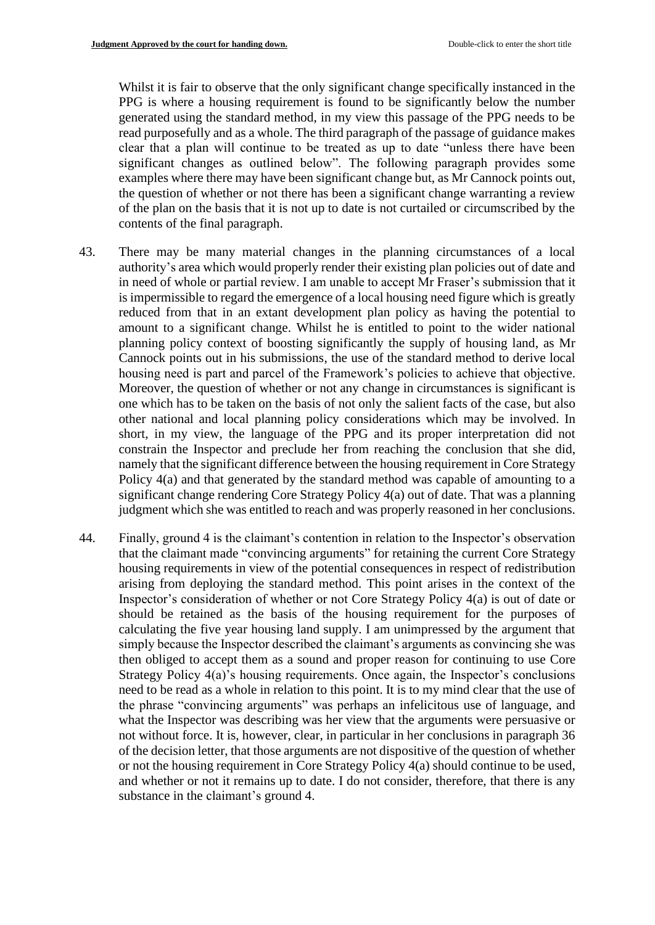Whilst it is fair to observe that the only significant change specifically instanced in the PPG is where a housing requirement is found to be significantly below the number generated using the standard method, in my view this passage of the PPG needs to be read purposefully and as a whole. The third paragraph of the passage of guidance makes clear that a plan will continue to be treated as up to date "unless there have been significant changes as outlined below". The following paragraph provides some examples where there may have been significant change but, as Mr Cannock points out, the question of whether or not there has been a significant change warranting a review of the plan on the basis that it is not up to date is not curtailed or circumscribed by the contents of the final paragraph.

- 43. There may be many material changes in the planning circumstances of a local authority's area which would properly render their existing plan policies out of date and in need of whole or partial review. I am unable to accept Mr Fraser's submission that it is impermissible to regard the emergence of a local housing need figure which is greatly reduced from that in an extant development plan policy as having the potential to amount to a significant change. Whilst he is entitled to point to the wider national planning policy context of boosting significantly the supply of housing land, as Mr Cannock points out in his submissions, the use of the standard method to derive local housing need is part and parcel of the Framework's policies to achieve that objective. Moreover, the question of whether or not any change in circumstances is significant is one which has to be taken on the basis of not only the salient facts of the case, but also other national and local planning policy considerations which may be involved. In short, in my view, the language of the PPG and its proper interpretation did not constrain the Inspector and preclude her from reaching the conclusion that she did, namely that the significant difference between the housing requirement in Core Strategy Policy 4(a) and that generated by the standard method was capable of amounting to a significant change rendering Core Strategy Policy 4(a) out of date. That was a planning judgment which she was entitled to reach and was properly reasoned in her conclusions.
- 44. Finally, ground 4 is the claimant's contention in relation to the Inspector's observation that the claimant made "convincing arguments" for retaining the current Core Strategy housing requirements in view of the potential consequences in respect of redistribution arising from deploying the standard method. This point arises in the context of the Inspector's consideration of whether or not Core Strategy Policy 4(a) is out of date or should be retained as the basis of the housing requirement for the purposes of calculating the five year housing land supply. I am unimpressed by the argument that simply because the Inspector described the claimant's arguments as convincing she was then obliged to accept them as a sound and proper reason for continuing to use Core Strategy Policy 4(a)'s housing requirements. Once again, the Inspector's conclusions need to be read as a whole in relation to this point. It is to my mind clear that the use of the phrase "convincing arguments" was perhaps an infelicitous use of language, and what the Inspector was describing was her view that the arguments were persuasive or not without force. It is, however, clear, in particular in her conclusions in paragraph 36 of the decision letter, that those arguments are not dispositive of the question of whether or not the housing requirement in Core Strategy Policy 4(a) should continue to be used, and whether or not it remains up to date. I do not consider, therefore, that there is any substance in the claimant's ground 4.